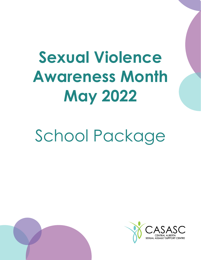# **Sexual Violence Awareness Month May 2022**

# School Package



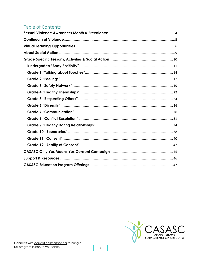# Table of Contents

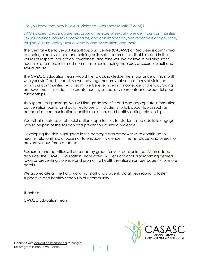Did you know that May is Sexual Violence Awareness Month (SVAM)?

SVAM is used to raise awareness around the issue of sexual violence in our communities. Sexual violence can take many forms, and can impact anyone regardless of age, race, religion, culture, ability, sexual identity and orientation, and more.

The Central Alberta Sexual Assault Support Centre (CASASC) of Red Deer is committed to ending sexual violence and helping build safer communities that is rooted in the values of respect, education, awareness, and renewal. We believe in building safer, healthier and more informed communities surrounding the issues of sexual assault and sexual abuse.

The CASASC Education Team would like to acknowledge the importance of this month with your staff and students so we may together prevent various forms of violence within our communities. As a team, we believe in giving knowledge and encouraging empowerment in students to create healthy school environments and respectful peer relationships.

Throughout this package, you will find grade specific and age-appropriate information, conversation points, and activities to use with students to talk about topics such as boundaries, communication, conflict resolution, and healthy dating relationships.

You will also note several social action opportunities for students and adults to engage with to be part of the solution and prevention of sexual violence.

Developing the skills highlighted in this package can empower us to contribute to healthy relationships, choose not to engage in violence in the first place, and overall to prevent various forms of abuse.

Resources and activities will be sorted by grade for your convenience. As an added resource, the CASASC Education Team offers FREE educational programming geared towards preventing violence and promoting healthy relationships, see page 47 for more details.

We appreciate all the hard work that staff and students do all year round to foster supportive and healthy schools in our community.

Thank You!

CASASC Education Team

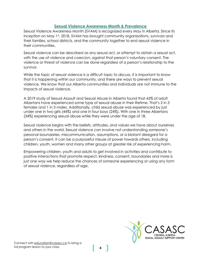# **Sexual Violence Awareness Month & Prevalence**

<span id="page-3-0"></span>Sexual Violence Awareness Month (SVAM) is recognized every May in Alberta. Since its inception on May 1st, 2018, SVAM has brought community organizations, survivors and their families, school districts, and the community together to end sexual violence in their communities.

Sexual violence can be described as any sexual act, or attempt to obtain a sexual act, with the use of violence and coercion, against that person's voluntary consent. The violence or threat of violence can be done regardless of a person's relationship to the survivor.

While the topic of sexual violence is a difficult topic to discuss, it is important to know that it is happening within our community, and there are ways to prevent sexual violence. We know that our Alberta communities and individuals are not immune to the impacts of sexual violence.

A 2019 study of Sexual Assault and Sexual Abuse in Alberta found that 45% of adult Albertans have experienced some type of sexual abuse in their lifetime. That's 2 in 3 females and 1 in 3 males. Additionally, child sexual abuse was experienced by just under one in two girls (44%) and one in four boys (24%). With one in three Albertans (34%) experiencing sexual abuse while they were under the age of 18.

Sexual violence begins with the beliefs, attitudes, and values we have about ourselves and others in the world. Sexual violence can involve not understanding someone's personal boundaries, miscommunication, assumptions, or a blatant disregard for a person's consent. It can be a purposeful misuse of power towards others, including children, youth, women and many other groups at greater risk of experiencing harm.

Empowering children, youth and adults to get involved in activities and contribute to positive interactions that promote respect, kindness, consent, boundaries and more is just one way we help reduce the chances of someone experiencing or using any form of sexual violence, regardless of age.

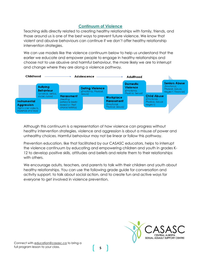# **Continuum of Violence**

<span id="page-4-0"></span>Teaching skills directly related to creating healthy relationships with family, friends, and those around us is one of the best ways to prevent future violence. We know that violent and abusive behaviours can continue if we don't offer healthy relationship intervention strategies.

We can use models like the violence continuum below to help us understand that the earlier we educate and empower people to engage in healthy relationships and choose not to use abusive and harmful behaviour, the more likely we are to interrupt and change where they are along a violence pathway.



Although this continuum is a representation of how violence can progress without healthy intervention strategies, violence and aggression is about a misuse of power and unhealthy choices. Harmful behaviour may not be linear or follow this pathway.

Prevention education, like that facilitated by our CASASC educators, helps to interrupt the violence continuum by educating and empowering children and youth in grades K-12 to develop positive skills, attitudes and beliefs and relate them to their relationships with others.

We encourage adults, teachers, and parents to talk with their children and youth about healthy relationships. You can use the following grade guide for conversation and activity support, to talk about social action, and to create fun and active ways for everyone to get involved in violence prevention.

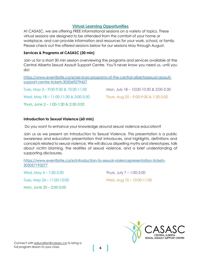# **Virtual Learning Opportunities**

<span id="page-5-0"></span>At CASASC, we are offering FREE informational sessions on a variety of topics. These virtual sessions are designed to be attended from the comfort of your home or workplace, and can provide information and resources for your work, school, or family. Please check out the offered sessions below for our sessions May through August.

#### **Services & Programs at CASASC (30 min)**

Join us for a short 30 min session overviewing the programs and services available at the Central Alberta Sexual Assault Support Centre. You'll never know you need us, until you do!

| https://www.eventbrite.ca/e/services-programs-of-the-central-albertasexual-assault-<br>support-centre-tickets-305069279427 |                                        |
|----------------------------------------------------------------------------------------------------------------------------|----------------------------------------|
| Tues, May $3 - 9:00 - 9:30$ & 10:30-11:00                                                                                  | Mon, July 18 - 10:00-10:30 & 2:00-2:30 |
| Wed, May 18 - 11:00-11:30 & 3:00-3:30                                                                                      | Thurs, Aug 25 - 9:00-9:30 & 1:30-2:00  |
| Thurs, June 2 – 1:00-1:30 & 2:30-3:00                                                                                      |                                        |

# **Introduction to Sexual Violence (60 min)**

Do you want to enhance your knowledge around sexual violence education?

Join us as we present an Introduction to Sexual Violence. This presentation is a public awareness and education presentation that introduces, and highlights, definitions and concepts related to sexual violence. We will discuss dispelling myths and stereotypes, talk about victim blaming, the realities of sexual violence, and a brief understanding of supporting disclosures.

[https://www.eventbrite.ca/e/introduction-to-sexual-violencepresentation-tickets-](https://www.eventbrite.ca/e/introduction-to-sexual-violencepresentation-tickets-305057193277)[305057193277](https://www.eventbrite.ca/e/introduction-to-sexual-violencepresentation-tickets-305057193277)

Wed, May 4 – 1:30-2:30 Tues, May 24 – 11:00-12:00 Mon, June 20 – 2:00-3:00

Thurs, July 7 – 1:00-2:00 Wed, Aug 10 – 10:00-11:00

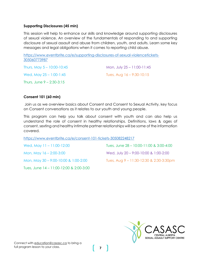#### **Supporting Disclosures (45 min)**

This session will help to enhance our skills and knowledge around supporting disclosures of sexual violence. An overview of the fundamentals of responding to and supporting disclosure of sexual assault and abuse from children, youth, and adults. Learn some key messages and legal obligations when it comes to reporting child abuse.

[https://www.eventbrite.ca/e/supporting-disclosures-of-sexual-violencetickets-](https://www.eventbrite.ca/e/supporting-disclosures-of-sexual-violencetickets-305060773987)[305060773987](https://www.eventbrite.ca/e/supporting-disclosures-of-sexual-violencetickets-305060773987)

| Thurs, May $5 - 10:00 - 10:45$ | Mon, July 25 - 11:00-11:45    |
|--------------------------------|-------------------------------|
| Wed, May $25 - 1:00 - 1:45$    | Tues, $Avg 16 - 9:30 - 10:15$ |
| Thurs, June $9 - 2:30 - 3:15$  |                               |

#### **Consent 101 (60 min)**

Join us as we overview basics about Consent and Consent to Sexual Activity, key focus on Consent conversations as it relates to our youth and young people.

This program can help you talk about consent with youth and can also help us understand the role of consent in healthy relationships. Definitions, laws & ages of consent, sexting and healthy intimate partner relationships will be some of the information covered.

<https://www.eventbrite.ca/e/consent-101-tickets-305082248217>

Wed, May 11 – 11:00-12:00 Mon, May 16 – 2:00-3:00 Mon, May 30 – 9:00-10:00 & 1:00-2:00 Tues, June 14 – 11:00-12:00 & 2:00-3:00

Tues, June 28 – 10:00-11:00 & 3:00-4:00 Wed, July 20 – 9:00-10:00 & 1:00-2:00 Tues, Aug 9 – 11:30-12:30 & 2:30-3:30pm



Connect wit[h education@casasc.ca](mailto:education@casasc.ca) to bring a full program lesson to your class.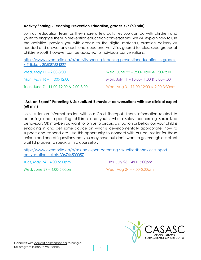#### **Activity Sharing - Teaching Prevention Education, grades K-7 (60 min)**

Join our education team as they share a few activities you can do with children and youth to engage them in prevention education conversations. We will explain how to use the activities, provide you with access to the digital materials, practice delivery as needed and answer any additional questions. Activities geared for class sized groups of children/youth however can be adapted to individual conversations.

[https://www.eventbrite.ca/e/activity-sharing-teaching-preventioneducation-in-grades](https://www.eventbrite.ca/e/activity-sharing-teaching-preventioneducation-in-grades-k-7-tickets-305087634327)[k-7-tickets-305087634327](https://www.eventbrite.ca/e/activity-sharing-teaching-preventioneducation-in-grades-k-7-tickets-305087634327)

| Wed, May $11 - 2:00-3:00$              | Wed, June 22 – 9:00-10:00 & 1:00-2:00  |
|----------------------------------------|----------------------------------------|
| Mon, May 16 - 11:00-12:00              | Mon, July 11 - 10:00-11:00 & 3:00-4:00 |
| Tues, June 7 – 11:00-12:00 & 2:00-3:00 | Wed, Aug 3 - 11:00-12:00 & 2:00-3:30pm |

# **"Ask an Expert" Parenting & Sexualized Behaviour conversations with our clinical expert (60 min)**

Join us for an informal session with our Child Therapist. Learn information related to parenting and supporting children and youth who display concerning sexualized behaviours OR maybe you want to join us to discuss a situation or behaviour your child is engaging in and get some advice on what is developmentally appropriate, how to support and respond etc. Use this opportunity to connect with our counsellor for those unique and one-off questions that you may have but don't want to go through our client wait list process to speak with a counsellor.

[https://www.eventbrite.ca/e/ask-an-expert-parenting-sexualizedbehavior-support](https://www.eventbrite.ca/e/ask-an-expert-parenting-sexualizedbehavior-support-conversation-tickets-306744500057)[conversation-tickets-306744500057](https://www.eventbrite.ca/e/ask-an-expert-parenting-sexualizedbehavior-support-conversation-tickets-306744500057)

Tues, May 24 – 4:00-5:00pm

Wed, June 29 – 4:00-5:00pm

Tues, July 26 – 4:00-5:00pm Wed, Aug 24 – 4:00-5:00pm



Connect wit[h education@casasc.ca](mailto:education@casasc.ca) to bring a full program lesson to your class.

**8**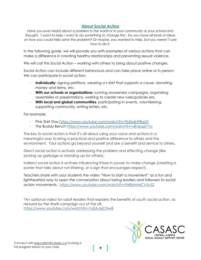# **About Social Action**

<span id="page-8-0"></span>*Have you ever heard about a problem in the world or in your community or your school and thought, 'I want to help. I want to do something to change this'. Do you have all kinds of ideas on how you could help solve the problem? Or maybe, you wanted to help, but you weren't sure how to do it.*

In the following guide, we will provide you with examples of various actions that can make a difference in creating healthy relationships and preventing sexual violence.

We will call this Social Action – working with others to bring about positive changes.

Social Action can include different behaviours and can take place online or in person. We can participate in social action:

- **Individually**: signing petitions, wearing a t-shirt that supports a cause, donating money and items, etc.
- **With our schools or organizations**: running awareness campaigns, organizing assemblies or presentations, working to create new rules/policies etc.
- **With local and global communities**: participating in events, volunteering, supporting community, writing letters, etc.

For example;

- Pink Shirt Day https://www.youtube.com/watch?v=Tb2a4nPBqUY
- The Buddy Bench <https://www.youtube.com/watch?v=dFqxqzI71Ic>

The key to social action is that it's all about using your voice and actions in a meaningful way to bring a practical and positive difference to others and the environment. Your actions go beyond yourself and are a benefit and service to others.

Direct social action is actively addressing the problem and effecting change (like picking up garbage or standing up for others).

Indirect social action is actively influencing those in power to make change (creating a poster that talks about not littering, or a sign that encourages respect)

Teachers share with your students the video "How to start a movement" as a fun and lighthearted way to open the conversation about being leaders and followers to social action movements. *<https://www.youtube.com/watch?v=fW8amMCVAJQ>*

\*An optional video for adult leaders that explains the benefits of youth social action, as relayed by the #iwill campaign out of the UK. <https://www.youtube.com/watch?v=162AJojCNw8>

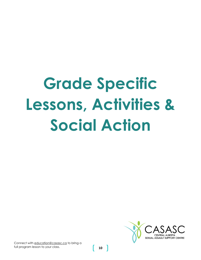# <span id="page-9-0"></span>**Grade Specific Lessons, Activities & Social Action**



Connect wit[h education@casasc.ca](mailto:education@casasc.ca) to bring a full program lesson to your class.

**10**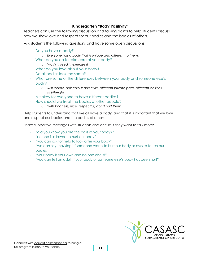# **Kindergarten "Body Positivity"**

<span id="page-10-0"></span>Teachers can use the following discussion and talking points to help students discuss how we show love and respect for our bodies and the bodies of others.

Ask students the following questions and have some open discussions:

- Do you have a body?
	- o *Everyone has a body that is unique and different to them.*
- What do you do to take care of your body?
	- o *Wash it, feed it, exercise it*
- What do you love about your body?
- Do all bodies look the same?
- What are some of the differences between your body and someone else's body?
	- o *Skin colour, hair colour and style, different private parts, different abilities, size/height*
- Is it okay for everyone to have different bodies?
- How should we treat the bodies of other people?
	- o *With kindness, nice, respectful, don't hurt them*

Help students to understand that we all have a body, and that it is important that we love and respect our bodies and the bodies of others.

Share supportive messages with students and discuss if they want to talk more:

- "did you know you are the boss of your body?"
- "no one is allowed to hurt our body"
- "you can ask for help to look after your body"
- "we can say 'no/stop' if someone wants to hurt our body or asks to touch our bodies"
- "your body is your own and no one else's!"
- "you can tell an adult if your body or someone else's body has been hurt"

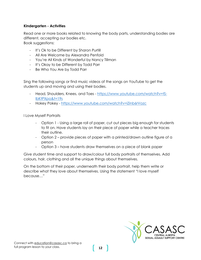# **Kindergarten - Activities**

Read one or more books related to knowing the body parts, understanding bodies are different, accepting our bodies etc. Book suggestions:

- It's Ok to be Different by Sharon Purtill
- All Are Welcome by Alexandra Penfold
- You're All Kinds of Wonderful by Nancy Tillman
- It's Okay to be Different by Todd Parr
- Be Who You Are by Todd Parr

Sing the following songs or find music videos of the songs on YouTube to get the students up and moving and using their bodies.

- Head, Shoulders, Knees, and Toes [https://www.youtube.com/watch?v=tS](https://www.youtube.com/watch?v=tS-lbKtPXpo&t=19s)[lbKtPXpo&t=19s](https://www.youtube.com/watch?v=tS-lbKtPXpo&t=19s)
- Hokey Pokey <https://www.youtube.com/watch?v=iZinb6rVozc>

I Love Myself Portraits

- Option 1 Using a large roll of paper, cut out pieces big enough for students to fit on. Have students lay on their piece of paper while a teacher traces their outline.
- Option 2 provide pieces of paper with a printed/drawn outline figure of a person
- Option 3 have students draw themselves on a piece of blank paper

Give student time and support to draw/colour full body portraits of themselves. Add colours, hair, clothing and all the unique things about themselves.

On the bottom of their paper, underneath their body portrait, help them write or describe what they love about themselves. Using the statement "I love myself because…"

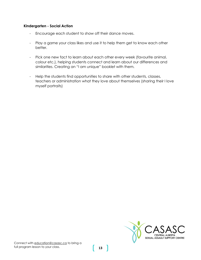#### **Kindergarten - Social Action**

- Encourage each student to show off their dance moves.
- Play a game your class likes and use it to help them get to know each other better.
- Pick one new fact to learn about each other every week (favourite animal, colour etc.), helping students connect and learn about our differences and similarities. Creating an "I am unique" booklet with them.
- Help the students find opportunities to share with other students, classes, teachers or administration what they love about themselves (sharing their I love myself portraits)

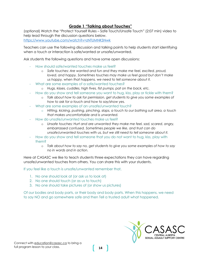# **Grade 1 "Talking about Touches"**

<span id="page-13-0"></span>(optional) Watch the "Protect Yourself Rules – Safe Touch/Unsafe Touch" (2:07 min) video to help lead through the discussion questions below. <https://www.youtube.com/watch?v=zNTUMNKSNwk>

Teachers can use the following discussion and talking points to help students start identifying when a touch or interaction is safe/wanted or unsafe/unwanted.

Ask students the following questions and have some open discussions:

- How should safe/wanted touches make us feel?
	- o *Safe touches: Are wanted and fun and they make me feel, excited, proud, loved, and happy. Sometimes touches may make us feel good but don't make us happy, when that happens, we need to tell someone about it.*
- What are some examples of a safe/wanted touches?
	- o *Hugs, kisses, cuddles, high fives, fist pumps, pat on the back, etc.*
- How do you show and tell someone you want to hug, kiss, play or tickle with them?
	- o *Talk about how to ask for permission, get students to give you some examples of how to ask for a touch and how to say/show yes.*
- What are some examples of an unsafe/unwanted touch?
	- o *Hitting, kicking, pushing, pinching, slaps, a touch to our bathing suit area, a touch that makes uncomfortable and is unwanted.*
- How do unsafe/unwanted touches make us feel?
	- o *Unsafe touches: Hurt and are unwanted they make me feel, sad, scared, angry, embarrassed confused. Sometimes people we like, and trust can do unsafe/unwanted touches with us, but we still need to tell someone about it.*
- How do you show and tell someone that you do not want to hug, kiss, play with them?
	- o *Talk about how to say no, get students to give you some examples of how to say no in words and in action.*

Here at CASASC we like to teach students three expectations they can have regarding unsafe/unwanted touches from others. You can share this with your students.

If you feel like a touch is unsafe/unwanted remember that,

- 1. No one should look at (or ask us to look at)
- 2. No one should touch (or as us to touch)
- 3. No one should take pictures of (or show us pictures)

Of our bodies and body parts, or their body and body parts. When this happens, we need to say NO and go somewhere safe and then Tell a trusted adult what happened.

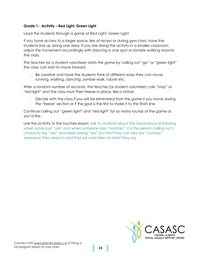# **Grade 1 - Activity – Red Light, Green Light**

Lead the students through a game of Red Light, Green Light

If you have access to a larger space, like at recess or during gym class, have the students line up along one area. If you are doing the activity in a smaller classroom, adjust the movement accordingly with dancing in one spot or zombie walking around the class.

The teacher (or a student volunteer) starts the game by calling out "go" or "green light" the class can start to move forward.

Be creative and have the students think of different ways they can move, running, walking, dancing, zombie walk, robots etc.

After a random number of seconds, the teacher (or student volunteer) calls "stop" or "red light" and the class must then freeze in place, like a statue.

- Decide with the class if you will be eliminated from the game if you move during the 'freeze' section or if the goal is the first to make it to the finish line.

Continue calling out "green light" and "red light" for as many rounds of the game as you'd like.

Link the activity to the touches lesson: talk to students about the importance of listening when some says "yes" and when someone says "no/stop". It is the person calling out's choice to say "yes" and keep saying "yes" but that they can also say "no/stop" whenever they need to and that we must listen to what they say.

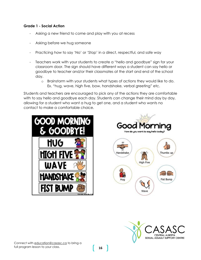## **Grade 1 - Social Action**

- Asking a new friend to come and play with you at recess
- Asking before we hug someone
- Practicing how to say 'No' or 'Stop' in a direct, respectful, and safe way
- Teachers work with your students to create a "hello and goodbye" sign for your classroom door. The sign should have different ways a student can say hello or goodbye to teacher and/or their classmates at the start and end of the school day.
	- o Brainstorm with your students what types of actions they would like to do. Ex. "hug, wave, high five, bow, handshake, verbal greeting" etc.

Students and teachers are encouraged to pick any of the actions they are comfortable with to say hello and goodbye each day. Students can change their mind day by day, allowing for a student who want a hug to get one, and a student who wants no contact to make a comfortable choice.





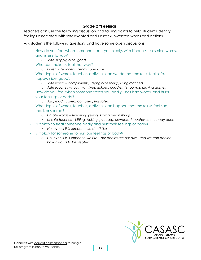# **Grade 2 "Feelings"**

<span id="page-16-0"></span>Teachers can use the following discussion and talking points to help students identify feelings associated with safe/wanted and unsafe/unwanted words and actions.

Ask students the following questions and have some open discussions:

- How do you feel when someone treats you nicely, with kindness, uses nice words, and listens to you?
	- o *Safe, happy, nice, good*
- Who can make us feel that way?
	- o *Parents, teachers, friends, family, pets*
- What types of words, touches, activities can we do that make us feel safe, happy, nice, good?
	- o *Safe words – compliments, saying nice things, using manners*
	- o *Safe touches – hugs, high fives, tickling, cuddles, fist bumps, playing games*
- How do you feel when someone treats you badly, uses bad words, and hurts your feelings or body?
	- o *Sad, mad, scared, confused, frustrated*
- What types of words, touches, activities can happen that makes us feel sad, mad, or scared?
	- o *Unsafe words – swearing, yelling, saying mean things*
	- o *Unsafe touches – hitting, kicking, pinching, unwanted touches to our body parts*
- Is it okay to treat someone badly and hurt their feelings or body?
	- o *No, even if it is someone we don't like*
- Is it okay for someone to hurt our feelings or body?
	- o *No, even if it is someone we like – our bodies are our own, and we can decide how it wants to be treated.*

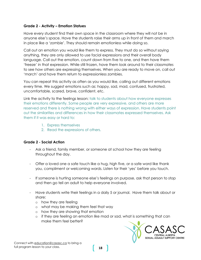# **Grade 2 - Activity – Emotion Statues**

Have every student find their own space in the classroom where they will not be in anyone else's space. Have the students raise their arms up in front of them and march in place like a 'zombie'. They should remain emotionless while doing so.

Call out an emotion you would like them to express. They must do so without saying anything, they are only allowed to use facial expressions and their overall body language. Call out the emotion, count down from five to one, and then have them 'freeze' in that expression. While still frozen, have them look around to their classmates to see how others are expressing themselves. When you are ready to move on, call out 'march' and have them return to expressionless zombies.

You can repeat this activity as often as you would like, calling out different emotions every time. We suggest emotions such as: happy, sad, mad, confused, frustrated, uncomfortable, scared, brave, confident, etc.

Link the activity to the feelings lesson: talk to students about how everyone expresses their emotions differently. Some people are very expressive, and others are more reserved and there is nothing wrong with either ways of expression. Have students point out the similarities and differences in how their classmates expressed themselves. Ask them if it was easy or hard to:

- 1. Express themselves
- 2. Read the expressions of others.

# **Grade 2 - Social Action**

- Ask a friend, family member, or someone at school how they are feeling throughout the day.
- Offer a loved one a safe touch like a hug, high five, or a safe word like thank you, compliment or welcoming words. Listen for their 'yes' before you touch.
- If someone is hurting someone else's feelings on purpose, ask that person to stop and then go tell an adult to help everyone involved.
- Have students write their feelings in a daily 5 or journal. Have them talk about or share:
	- o how they are feeling
	- o what may be making them feel that way
	- o how they are showing that emotion
	- o if they are feeling an emotion like mad or sad, what is something that can make them feel better?

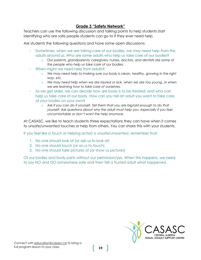# **Grade 3 "Safety Network"**

<span id="page-18-0"></span>Teachers can use the following discussion and talking points to help students start identifying who are safe people students can go to if they ever need help.

Ask students the following questions and have some open discussions:

- Sometimes, when we are taking care of our bodies, we may need help from the adults around us. Who are some adults who help us take care of our bodies?
	- o *Our parents, grandparents, caregivers, nurses, doctors, and dentists are some of the people who help us take care of our bodies.*
- When might we need help from adults?
	- o *We may need help to making sure our body is clean, healthy, growing in the right way, etc.*
	- o *We may need help when we are injured or sick, when we are too young, or when we are learning how to take care of ourselves.*
- As we get older, we can decide how are body is to be treated, and who can help us take care of our body. How can you tell an adult you want to take care of your bodies on your own?
	- o *Ask if you can do it yourself. Tell them that you are big/old enough to do that yourself. Ask questions about why the adult must help you, especially if you feel uncomfortable or don't want the help anymore.*

At CASASC, we like to teach students three expectations they can have when it comes to unsafe/unwanted touches or help from others. You can share this with your students.

If you feel like a touch or helping action is unsafe/unwanted, remember that,

- 1. No one should look at (or ask us to look at)
- 2. No one should touch (or as us to touch)
- 3. No one should take pictures of (or show us pictures)

Of our bodies and body parts without our permission/yes. When this happens, we need to say NO and GO somewhere safe and then Tell a trusted adult what happened.

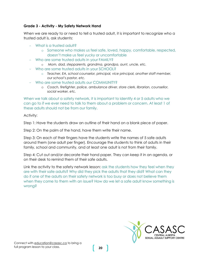# **Grade 3 - Activity - My Safety Network Hand**

When we are ready to or need to tell a trusted adult, it is important to recognize who a trusted adult is, ask students:

- What is a trusted adult?
	- o Someone who makes us feel safe, loved, happy, comfortable, respected, doesn't make us feel yucky or uncomfortable
- Who are some trusted adults in your FAMILY?
	- o *Mom, dad, stepparents, grandma, grandpa, aunt, uncle, etc.*
- Who are some trusted adults in your SCHOOL?
	- o *Teacher, EA, school counselor, principal, vice principal, another staff member, our school's pastor, etc.*
- Who are some trusted adults our COMMUNITY?
	- o *Coach, firefighter, police, ambulance driver, store clerk, librarian, counsellor, social worker, etc.*

When we talk about a safety network, it is important to identify 4 or 5 adults who we can go to if we ever need to talk to them about a problem or concern. At least 1 of these adults should not be from our family.

Activity:

Step 1: Have the students draw an outline of their hand on a blank piece of paper.

Step 2: On the palm of the hand, have them write their name.

Step 3: On each of their fingers have the students write the names of 5 safe adults around them (one adult per finger). Encourage the students to think of adults in their family, school and community, and at least one adult is not from their family.

Step 4: Cut out and/or decorate their hand paper. They can keep it in an agenda, or on their desk to remind them of their safe adults.

Link the activity to the safety network lesson: ask the students how they feel when they are with their safe adults? Why did they pick the adults that they did? What can they do if one of the adults on their safety network is too busy or does not believe them when they come to them with an issue? How do we let a safe adult know something is wrong?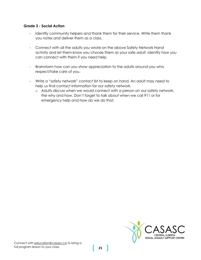#### **Grade 3 - Social Action**

- Identify community helpers and thank them for their service. Write them thank you notes and deliver them as a class.
- Connect with all the adults you wrote on the above Safety Network Hand activity and let them know you choose them as your safe adult. Identify how you can connect with them if you need help.
- Brainstorm how can you show appreciation to the adults around you who respect/take care of you.
- Write a "safety network" contact list to keep on hand. An adult may need to help us find contact information for our safety network.
	- o Adults discuss when we would connect with a person on our safety network, the why and how. Don't forget to talk about when we call 911 or for emergency help and how do we do that.

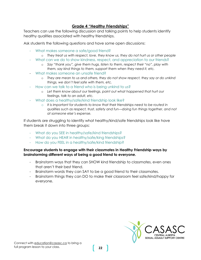# **Grade 4 "Healthy Friendships"**

<span id="page-21-0"></span>Teachers can use the following discussion and talking points to help students identify healthy qualities associated with healthy friendships.

Ask students the following questions and have some open discussions:

- What makes someone a safe/good friend?
	- o *They treat us with respect, love, they know us, they do not hurt us or other people*
- What can we do to show kindness, respect, and appreciation to our friends?
	- o *Say "thank you", give them hugs, listen to them, respect their "no", play with them, say kind things to them, support them when they need it, etc.*
- What makes someone an unsafe friend?
	- o *They are mean to us and others, they do not show respect, they say or do unkind things, we don't feel safe with them, etc.*
- How can we talk to a friend who is being unkind to us?
	- o *Let them know about our feelings, point out what happened that hurt our feelings, talk to an adult, etc.*
- What does a healthy/safe/kind friendship look like?
	- o *It is important for students to know that their friendships need to be routed in qualities such as respect, trust, safety and fun—doing fun things together, and not at someone else's expense.*

If students are struggling to identify what healthy/kind/safe friendships look like have them break it down into three groups:

- What do you SEE in healthy/safe/kind friendships?
- What do you HEAR in healthy/safe/king friendships?
- How do you FEEL in a healthy/safe/kind friendship?

#### **Encourage students to engage with their classmates in Healthy Friendship ways by brainstorming different ways of being a good friend to everyone.**

- Brainstorm ways that they can SHOW kind friendship to classmates, even ones that aren't their best friend.
- Brainstorm words they can SAY to be a good friend to their classmates.
- Brainstorm things they can DO to make their classroom feel safe/kind/happy for everyone.

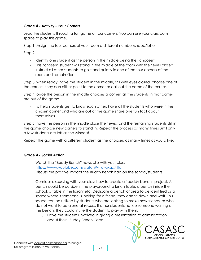# **Grade 4 - Activity – Four Corners**

Lead the students through a fun game of four corners. You can use your classroom space to play this game.

Step 1: Assign the four corners of your room a different number/shape/letter

Step 2:

- Identify one student as the person in the middle being the "chooser"
- This "chosen" student will stand in the middle of the room with their eyes closed
- Instruct all other students to go stand quietly in one of the four corners of the room and remain silent.

Step 3: when ready, have the student in the middle, still with eyes closed, choose one of the corners, they can either point to the corner or call out the name of the corner.

Step 4: once the person in the middle chooses a corner, all the students in that corner are out of the game.

To help students get to know each other, have all the students who were in the chosen corner and who are out of the game share one fun fact about themselves.

Step 5: have the person in the middle close their eyes, and the remaining students still in the game choose new corners to stand in. Repeat the process as many times until only a few students are left as the winners!

Repeat the game with a different student as the chooser, as many times as you'd like.

# **Grade 4 - Social Action**

- Watch the "Buddy Bench" news clip with your class <https://www.youtube.com/watch?v=dFqxqzI71Ic> Discuss the positive impact the Buddy Bench had on the school/students
- Consider discussing with your class how to create a "buddy bench" project. A bench could be outside in the playground, a lunch table, a bench inside the school, a table in the library etc. Dedicate a bench or area to be identified as a space where if someone is looking for a friend, they can sit down and wait. This space can be utilized by students who are looking to make new friends, or who do not want to be alone at recess. If other students notice someone waiting at the bench, they could invite the student to play with them.
	- o Have the students involved in giving a presentation to administration about their "Buddy Bench" idea.

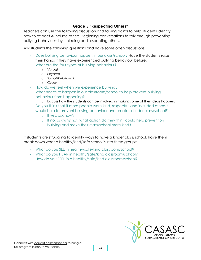# **Grade 5 "Respecting Others"**

<span id="page-23-0"></span>Teachers can use the following discussion and talking points to help students identify how to respect & include others. Beginning conversations to talk through preventing bullying behaviours by including and respecting others.

Ask students the following questions and have some open discussions:

- Does bullying behaviour happen in our class/school? Have the students raise their hands if they have experienced bullying behaviour before.
- What are the four types of bullying behaviour?
	- o *Verbal*
	- o *Physical*
	- o *Social/Relational*
	- o *Cyber*
- How do we feel when we experience bullying?
- What needs to happen in our classroom/school to help prevent bullying behaviour from happening?
	- o Discuss how the students can be involved in making some of their ideas happen.
- Do you think that if more people were kind, respectful and included others it would help to prevent bullying behaviour and create a kinder class/school?
	- o If yes, ask how?
	- o If no, ask why not, what action do they think could help prevention bullying and make their class/school more kind?

If students are struggling to identify ways to have a kinder class/school, have them break down what a healthy/kind/safe school is into three groups:

- What do you SEE in healthy/safe/kind classroom/school?
- What do you HEAR in healthy/safe/king classroom/school?
- How do you FEEL in a healthy/safe/kind classroom/school?

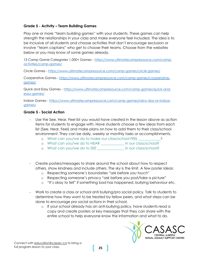# **Grade 5 - Activity – Team Building Games**

Play one or more "team building games" with your students. These games can help strength the relationships in your class and make everyone feel included. The idea is to be inclusive of all students and choose activities that don't encourage exclusion or involve "team captains" who get to choose their teams. Choose from the websites below or you may know of some games already.

15 Camp Game Categories 1,000+ Games - [https://www.ultimatecampresource.com/camp](https://www.ultimatecampresource.com/camp-activities/camp-games/)[activities/camp-games/](https://www.ultimatecampresource.com/camp-activities/camp-games/)

Circle Games - <https://www.ultimatecampresource.com/camp-games/circle-games/>

Cooperative Games - [https://www.ultimatecampresource.com/camp-games/cooperative](https://www.ultimatecampresource.com/camp-games/cooperative-games/)[games/](https://www.ultimatecampresource.com/camp-games/cooperative-games/)

Quick and Easy Games - [https://www.ultimatecampresource.com/camp-games/quick-and](https://www.ultimatecampresource.com/camp-games/quick-and-easy-games/)[easy-games/](https://www.ultimatecampresource.com/camp-games/quick-and-easy-games/)

Indoor Games - [https://www.ultimatecampresource.com/camp-games/rainy-day-or-indoor](https://www.ultimatecampresource.com/camp-games/rainy-day-or-indoor-games/)[games/](https://www.ultimatecampresource.com/camp-games/rainy-day-or-indoor-games/)

#### **Grade 5 - Social Action**

- Use the See, Hear, Feel list you would have created in the lesson above as action items for students to engage with. Have students choose a few ideas from each list (See, Hear, Feel) and make plans on how to add them to their class/school environment. They can be daily, weekly or monthly tasks or accomplishments.
	- o What can you/we do to make our class/school FEEL \_\_\_\_\_\_\_\_\_
	- o What can you/we do to HEAR \_\_\_\_\_\_\_\_\_\_\_\_\_ in our class/school?
	- o What can you/we do to SEE in our class/school?
- Create posters/messages to share around the school about how to respect others, show kindness and include others. The sky is the limit. A few poster ideas:
	- o Respecting someone's boundaries "ask before you touch"
	- o Respecting someone's privacy "ask before you post/take a picture"
	- o "It's okay to tell" if something bad has happened, bullying behaviour etc.
- Work to create a class or school anti bullying/pro social policy. Talk to students to determine how they want to be treated by fellow peers, and what steps can be done to encourage pro social actions in their school.
	- o If your school already has an anti-bullying policy, have students read a copy and create posters or key messages that they can share with the entire school to help everyone know the information and what to do.

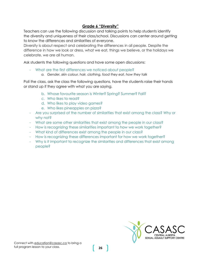# **Grade 6 "Diversity"**

<span id="page-25-0"></span>Teachers can use the following discussion and talking points to help students identify the diversity and uniqueness of their class/school. Discussions can center around getting to know the differences and similarities of everyone.

Diversity is about respect and celebrating the differences in all people. Despite the difference in how we look or dress, what we eat, things we believe, or the holidays we celebrate, we are all human.

Ask students the following questions and have some open discussions:

- What are the first differences we noticed about people?
	- *a. Gender, skin colour, hair, clothing, food they eat, how they talk*

Poll the class, ask the class the following questions, have the students raise their hands or stand up if they agree with what you are saying.

- b. Whose favourite season is Winter? Spring? Summer? Fall?
- c. Who likes to read?
- d. Who likes to play video games?
- e. Who likes pineapples on pizza?
- Are you surprised at the number of similarities that exist among the class? Why or why not?
- What are some other similarities that exist among the people in our class?
- How is recognizing these similarities important to how we work together?
- What kind of differences exist among the people in our class?
- How is recognizing these differences important for how we work together?
- Why is it important to recognize the similarities and differences that exist among people?

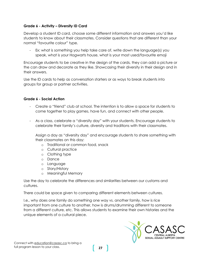# **Grade 6 - Activity – Diversity ID Card**

Develop a student ID card, choose some different information and answers you'd like students to know about their classmates. Consider questions that are different than your normal "favourite colour" type.

- Ex: what is something you help take care of, write down the language(s) you speak, what is your Hogwarts house, what is your most used/favourite emoji

Encourage students to be creative in the design of the cards, they can add a picture or the can draw and decorate as they like. Showcasing their diversity in their design and in their answers.

Use the ID cards to help as conversation starters or as ways to break students into groups for group or partner activities.

#### **Grade 6 - Social Action**

- Create a "friend" club at school. The intention is to allow a space for students to come together to play games, have fun, and connect with other people.
- As a class, celebrate a "diversity day" with your students. Encourage students to celebrate their family's culture, diversity and traditions with their classmates.

Assign a day as "diversity day" and encourage students to share something with their classmates on this day:

- o Traditional or common food, snack
- o Cultural practice
- o Clothing type
- o Dance
- o Language
- o Story/History
- o Meaningful Memory

Use the day to celebrate the differences and similarities between our customs and cultures.

There could be space given to comparing different elements between cultures.

I.e., why does one family do something one way vs. another family, how is rice important from one culture to another, how is drums/drumming different to someone from a different culture, etc. This allows students to examine their own histories and the unique elements of a cultural piece.

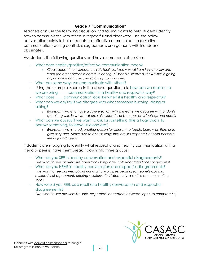# **Grade 7 "Communication"**

<span id="page-27-0"></span>Teachers can use the following discussion and talking points to help students identify how to communicate with others in respectful and clear ways. Use the below conversation points to help students use effective communication (assertive communication) during conflict, disagreements or arguments with friends and classmates.

Ask students the following questions and have some open discussions:

- What does healthy/positive/effective communication mean?
	- o *Clear, doesn't hurt someone else's feelings, I know what I am trying to say and*  what the other person is communicating. All people involved know what is going *on, no one is confused, mad, angry, sad or quiet.*
- What are some ways we communicate with others?
- Using the examples shared in the above question ask, how can we make sure we are using \_\_\_\_\_ communication in a healthy and respectful way?
- What does \_\_\_\_\_ communication look like when it is healthy and respectful?
- What can we do/say if we disagree with what someone is saying, doing or asking?
	- o *Brainstorm ways to have a conversation with someone we disagree with or don't get along with in ways that are still respectful of both person's feelings and needs.*
- What can we do/say if we want to ask for something (like a hug/touch, to borrow something, to leave us alone etc.)
	- o *Brainstorm ways to ask another person for consent to touch, borrow an item or to give us space. Make sure to discuss ways that are still respectful of both person's feelings and needs.*

If students are struggling to identify what respectful and healthy communication with a friend or peer is, have them break it down into three groups:

- What do you SEE in healthy conversation and respectful disagreements? *(we want to see answers like open body language, calm/not mad faces or gestures)*
- What do you HEAR in healthy conversation and respectful disagreements? *(we want to see answers about non-hurtful words, respecting someone's opinion, respectful disagreement, offering solutions, "I" Statements, assertive communication styles)*
- How would you FEEL as a result of a healthy conversation and respectful disagreements?

*(we want to see answers like safe, respected, accepted, believed, open to compromise)*

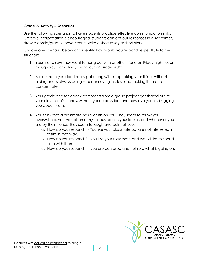# **Grade 7- Activity – Scenarios**

Use the following scenarios to have students practice effective communication skills. Creative interpretation is encouraged, students can act out responses in a skit format, draw a comic/graphic novel scene, write a short essay or short story

Choose one scenario below and identify how would you respond respectfully to the situation:

- 1) Your friend says they want to hang out with another friend on Friday night, even though you both always hang out on Friday night.
- 2) A classmate you don't really get along with keep taking your things without asking and is always being super annoying in class and making it hard to concentrate.
- 3) Your grade and feedback comments from a group project get shared out to your classmate's friends, without your permission, and now everyone is bugging you about them.
- 4) You think that a classmate has a crush on you. They seem to follow you everywhere, you've gotten a mysterious note in your locker, and whenever you are by their friends, they seem to laugh and point at you.
	- a. How do you respond if You like your classmate but are not interested in them in that way.
	- b. How do you respond if you like your classmate and would like to spend time with them.
	- c. How do you respond if you are confused and not sure what is going on.

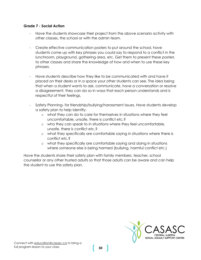#### **Grade 7 - Social Action**

- Have the students showcase their project from the above scenario activity with other classes, the school or with the admin team.
- Create effective communication posters to put around the school, have students come up with key phrases you could say to respond to a conflict in the lunchroom, playground, gathering area, etc. Get them to present these posters to other classes and share the knowledge of how and when to use these key phrases.
- Have students describe how they like to be communicated with and have it placed on their desks or in a space your other students can see. The idea being that when a student wants to ask, communicate, have a conversation or resolve a disagreement, they can do so in ways that each person understands and is respectful of their feelings.
- Safety Planning- for friendship/bullying/harassment issues. Have students develop a safety plan to help identify:
	- o what they can do to care for themselves in situations where they feel uncomfortable, unsafe, there is conflict etc.?
	- o who they can speak to in situations where they feel uncomfortable, unsafe, there is conflict etc.?
	- o what they specifically are comfortable saying in situations where there is conflict etc.?
	- o what they specifically are comfortable saying and doing in situations where someone else is being harmed (bullying, harmful conflict etc.)

Have the students share their safety plan with family members, teacher, school counsellor or any other trusted adults so that those adults can be aware and can help the student to use this safety plan.

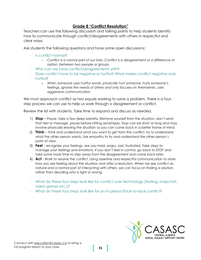# **Grade 8 "Conflict Resolution"**

<span id="page-30-0"></span>Teachers can use the following discussion and talking points to help students identify how to communicate through conflict/disagreements with others in respectful and clear ways.

Ask students the following questions and have some open discussions:

- Is conflict normal?
	- o *Conflict is a normal part of our lives. Conflict is a disagreement or a difference of option, between two people or groups.*
- Who can we have conflict/disagreements with?
- Does conflict have to be negative or hurtful? What makes conflict negative and hurtful?
	- o *When someone uses hurtful words, physically hurt someone, hurts someone's feelings, ignores the needs of others and only focuses on themselves, uses aggressive communication*

We must approach conflict as two equals working to solve a problem. There is a fourstep process we can use to help us work through a disagreement or conflict.

Review the list with students. Take time to expand and discuss as needed.

- 1) **Stop** Pause, take a few deep breaths. Remove yourself from the situation, don't send that text or message, pause before hitting send/reply. Stop can be short or long and may involve physically leaving the situation so you can come back in a better frame of mind.
- 2) **Think** think and understand what you want to get from the conflict, try to understand what the other person wants. Use empathy to try and understand the other person's point of view.
- 3) **Feel** recognize your feelings, are you mad, angry, sad, frustrated. Take steps to manage your feelings and emotions. If you don't feel in control, go back to STOP and take some more time to step away from the disagreement and come back later.
- 4) **Act** Work to resolve the conflict. Using assertive and respectful communication to state how you are feeling about the situation and offer a resolution. When we see conflict as natural and a normal part of interacting with others, we can focus on finding a solution, rather than deciding who is right or wrong.
- What do these four steps look like for conflict over technology (texting, snapchat, video games etc.)?
- What do these four steps look like for an in-person/face-to-face conflict?

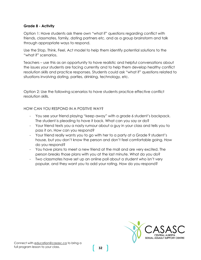#### **Grade 8 - Activity**

Option 1: Have students ask there own "what if" questions regarding conflict with friends, classmates, family, dating partners etc. and as a group brainstorm and talk through appropriate ways to respond.

Use the Stop, Think, Feel, Act model to help them identify potential solutions to the "what if" scenarios.

Teachers – use this as an opportunity to have realistic and helpful conversations about the issues your students are facing currently and to help them develop healthy conflict resolution skills and practice responses. Students could ask "what if" questions related to situations involving dating, parties, drinking, technology, etc.

Option 2: Use the following scenarios to have students practice effective conflict resolution skills.

# HOW CAN YOU RESPOND IN A POSITIVE WAY?

- You see your friend playing "keep away" with a grade 6 student's backpack. The student is pleading to have it back. What can you say or do?
- Your friend texts you a nasty rumour about a guy in your class and tells you to pass it on. How can you respond?
- Your friend really wants you to go with her to a party at a Grade 9 student's house, but you don't know the person and don't feel comfortable going. How do you respond?
- You have plans to meet a new friend at the mall and are very excited. The person breaks those plans with you at the last minute. What do you do?
- Two classmates have set up an online poll about a student who isn't very popular, and they want you to add your rating. How do you respond?

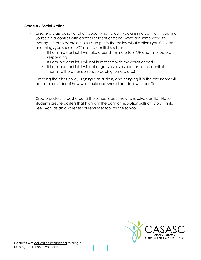#### **Grade 8 - Social Action**

- Create a class policy or chart about what to do if you are in a conflict. If you find yourself in a conflict with another student or friend, what are some ways to manage it, or to address it. You can put in the policy what actions you CAN do and things you should NOT do in a conflict such as:
	- o If I am in a conflict, I will take around 1 minute to STOP and think before responding
	- o If I am in a conflict, I will not hurt others with my words or body.
	- $\circ$  If I am in a conflict, I will not negatively involve others in the conflict (harming the other person, spreading rumors, etc.).

Creating the class policy, signing it as a class, and hanging it in the classroom will act as a reminder of how we should and should not deal with conflict.

- Create posters to post around the school about how to resolve conflict. Have students create posters that highlight the conflict resolution skills of "Stop, Think, Feel, Act" as an awareness or reminder tool for the school.

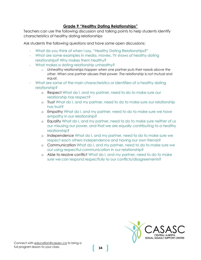# **Grade 9 "Healthy Dating Relationships"**

<span id="page-33-0"></span>Teachers can use the following discussion and talking points to help students identify characteristics of healthy dating relationships

Ask students the following questions and have some open discussions:

- What do you think of when I say, "Healthy Dating Relationships?"
- What are some examples in media, movies, TV shows of healthy dating relationships? Why makes them healthy?
- What makes a dating relationship unhealthy?
	- o *Unhealthy relationships happen when one partner puts their needs above the other. When one partner abuses their power. The relationship Is not mutual and equal.*
- What are some of the main characteristics or identifiers of a healthy dating relationship?
	- o Respect What do I, and my partner, need to do to make sure our relationship has respect?
	- o Trust What do I, and my partner, need to do to make sure our relationship has trust?
	- o Empathy What do I, and my partner, need to do to make sure we have empathy in our relationship?
	- o Equality What do I, and my partner, need to do to make sure neither of us our misusing our power, and that we are equally contributing to a healthy relationship?
	- o Independence What do I, and my partner, need to do to make sure we respect each others independence and having our own friends?
	- o Communication What do I, and my partner, need to do to make sure we our using respectful communication in our relationship?
	- o Able to resolve conflict What do I, and my partner, need to do to make sure we can respond respectfully to our conflicts/disagreements?

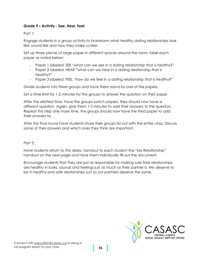# **Grade 9 – Activity - See, Hear, Feel**

Part 1:

Engage students in a group activity to brainstorm what healthy dating relationships look like, sound like and how they make us feel.

Set up three pieces of large paper in different spaces around the room, label each paper as noted below:

- Paper 1 labeled: SEE "what can we see in a dating relationship that is healthy?"
- Paper 2 labeled: HEAR "what can we hear in a dating relationship that is healthy?"
- Paper 3 labeled: FEEL "how do we feel in a dating relationship that is healthy?"

Divide students into three groups and have them stand by one of the papers.

Set a time limit for 1-2 minutes for the groups to answer the question on their paper.

After the allotted time, have the groups switch papers, they should now have a different question. Again, give them 1-2 minutes to add their answers to the question. Repeat this step one more time, the groups should now have the third paper to add their answers to.

After this final round have students share their groups list out with the entire class. Discuss some of their answers and which ones they think are important.

Part 2:

Have students return to the desks, handout to each student the "My Relationship" handout on the next page and have them individually fill out the document.

Encourage students that they are just as responsible for making sure their relationships are healthy in looks, sounds and feelings just as much as their partner is. We deserve to be in healthy and safe relationships just as our partners deserve the same.

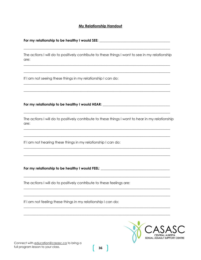#### **My Relationship Handout**

#### For my relationship to be healthy I would SEE:

The actions I will do to positively contribute to these things I want to see in my relationship are:

If I am not seeing these things in my relationship I can do:

#### For my relationship to be healthy I would HEAR: \_\_\_\_\_\_\_\_\_\_\_\_\_\_\_\_\_\_\_\_\_\_\_\_\_\_\_\_\_\_\_\_

The actions I will do to positively contribute to these things I want to hear in my relationship are:

If I am not hearing these things in my relationship I can do:

For my relationship to be healthy I would FEEL: \_\_\_\_\_\_\_\_\_\_\_\_\_\_\_\_\_\_\_\_\_\_\_\_\_\_\_\_\_\_\_\_

The actions I will do to positively contribute to these feelings are:

If I am not feeling these things in my relationship I can do:

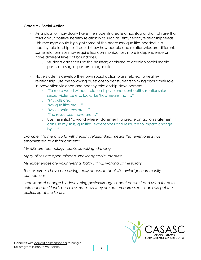#### **Grade 9 - Social Action**

- As a class, or individually have the students create a hashtag or short phrase that talks about positive healthy relationships such as: #myhealthyrelationshipneeds This message could highlight some of the necessary qualities needed in a healthy relationship, or it could show how people and relationships are different, some relationships may require less communication, more independence or have different levels of boundaries.
	- o Students can then use the hashtag or phrase to develop social media posts, messages, posters, images etc.
- Have students develop their own social action plans related to healthy relationship. Use the following questions to get students thinking about their role in prevention violence and healthy relationship development.
	- o "To me a world without relationship violence, unhealthy relationships, sexual violence etc. looks like/has/means that …"
	- o "My skills are…"
	- o "My qualities are …"
	- o "My experiences are …"
	- o "The resources I have are …"
	- o Use the initial "a world where" statement to create an action statement "I can use my skills, qualities, experiences and resource to impact change by … "

*Example; "To me a world with healthy relationships means that everyone is not embarrassed to ask for consent"*

*My skills are technology, public speaking, drawing*

*My qualities are open-minded, knowledgeable, creative*

*My experiences are volunteering, baby sitting, working at the library*

*The resources I have are driving, easy access to books/knowledge, community connections*

*I can impact change by developing posters/images about consent and using them to help educate friends and classmates, so they are not embarrassed. I can also put the posters up at the library.*

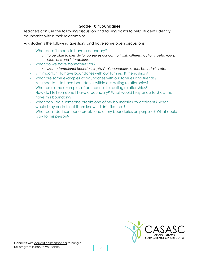# **Grade 10 "Boundaries"**

<span id="page-37-0"></span>Teachers can use the following discussion and talking points to help students identify boundaries within their relationships.

Ask students the following questions and have some open discussions:

- What does it mean to have a boundary?
	- o *To be able to identify for ourselves our comfort with different actions, behaviours, situations and interactions.*
- What do *we have boundaries for?*
	- o *Mental/emotional boundaries, physical boundaries, sexual boundaries etc.*
- Is it important to have boundaries with our families & friendships?
- What are some examples of boundaries with our families and friends?
- Is it important to have boundaries within our dating relationships?
- What are some examples of boundaries for dating relationships?
- How do I tell someone I have a boundary? What would I say or do to show that I have this boundary?
- What can I do if someone breaks one of my boundaries by accident? What would I say or do to let them know I didn't like that?
- What can I do if someone breaks one of my boundaries on purpose? What could I say to this person?

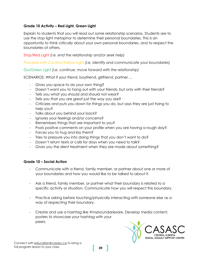# **Grade 10 Activity – Red Light, Green Light**

Explain to students that you will read out some relationship scenarios. Students are to use the stop light metaphor to determine their personal boundaries. This is an opportunity to think critically about your own personal boundaries, and to respect the boundaries of others.

Stop/Red Light *(i.e. end the relationship and/or seek help)*

Proceed with Caution/Yellow Light *(i.e. identify and communicate your boundaries)*

Go/Green Light *(i.e. continue, move forward with the relationship)*

SCENARIOS: What if your friend, boyfriend, girlfriend, partner …

- Gives you space to do your own thing?
- Doesn't want you to hang out with your friends, but only with their friends?
- Tells you what you should and should not wear?
- Tells you that you are great just the way you are?
- Criticizes and puts you down for things you do, but says they are just trying to help you?
- Talks about you behind your back?
- Ignores your feelings and/or concerns?
- Remembers things that are important to you?
- Posts positive comments on your profile when you are having a rough day?
- Forces you to hug and kiss them?
- Tries to pressure you into doing things that you don't want to do?
- Doesn't return texts or calls for days when you need to talk?
- Gives you the silent treatment when they are made about something?

# **Grade 10 – Social Action**

- Communicate with a friend, family member, or partner about one or more of your boundaries and how you would like to be talked to about it.
- Ask a friend, family member, or partner what their boundary is related to a specific activity or situation. Communicate how you will respect this boundary.
- Practice asking before touching/physically interacting with someone else as a way of respecting their boundary.
- Create and use a hashtag like #myboundariesare. Develop media content, posters to showcase your hashtag with your peers.

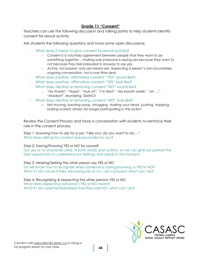# **Grade 11 "Consent"**

<span id="page-39-0"></span>Teachers can use the following discussion and talking points to help students identify consent for sexual activity.

Ask students the following questions and have some open discussions:

- What does it mean to give consent to sexual activity?
	- o *Consent is a voluntary agreement between people that they want to do something together… making sure everyone is saying yes because they want to, not because they feel pressured in anyway to say yes.*
	- o *Active, not passive, only yes means yes, respecting a person's own boundaries, ongoing conversation, not a one-time deal*
- What does positive, affirmative consent "YES" sound like?
- What does positive, affirmative consent "YES" look like?
- What does decline or removing consent "NO" sound like?
	- o *"No thanks", "Nope", "Nuh-uh", "I'm tired", "My breath smells", "Uh….", "Maybe?", Mumbling, SILENCE*
- What does decline or removing consent "NO" look like?
	- o *Not moving, backing away, shrugging, shaking your head, pushing, stopping, looking scared, afraid, No longer participating in the action*

Review the Consent Process and have a conversation with students to reinforce their role in the consent process.

Step 1: Knowing how to ask for a yes *"I like you; do you want to do…."* What does asking for consent look/sound like for you?

#### Step 2: Saying/Showing YES or NO for yourself

-

Our yes or no should be clear, in both words and actions, so we can give our partner the best opportunity to understand our feelings and needs in the moment.

Step 3: Hearing/Seeing the other person say YES or NO Do we know how to recognize when someone is saying/showing us YES or NO? What if I am unsure if they are saying yes or no, I am confused, what can I do?

Step 4: Recognizing & respecting the other persons YES or NO What does respecting someone's YES or NO mean? What if I am upset/embarrassed that they said NO, what can I do?

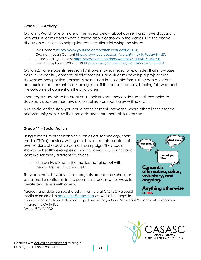# **Grade 11 – Activity**

Option 1: Watch one or more of the videos below about consent and have discussions with your students about what is talked about or shown in the videos. Use the above discussion questions to help guide conversations following the videos.

- Tea Consent<https://www.youtube.com/watch?v=fGoWLWS4-kU>
- Cycling through Consent<https://www.youtube.com/watch?v=-JwlKjRaUaw&t=27s>
- Understanding Consent<https://www.youtube.com/watch?v=raxPKklDF2k&t=1s>
- Consent Explained: What Is It?<https://www.youtube.com/watch?v=5vmsfhw-czA>

Option 2: Have students research TV shows, movie, media for examples that showcase positive, respectful, consensual relationships. Have students develop a project that showcases how positive consent is being used in those platforms. They can point out and explain the consent that is being used, if the consent process is being followed and the outcome of consent on the characters.

Encourage students to be creative in their project, they could use their examples to develop video commentary, poster/collage project, essay writing etc.

As a social action step, you could host a student showcase where others in their school or community can view their projects and learn more about consent.

#### **Grade 11 – Social Action**

Using a medium of their choice such as art, technology, social media (TikTok), posters, writing etc. have students create their own versions of a positive consent campaign. They could showcase healthy examples of what consent, YES, sounds and looks like for many different situations.

At a party, going to the movies, hanging out with friends, first kiss, touching, etc.

They can then showcase these projects around the school, on social media platforms, in the community or any other ways to create awareness with others.

\*projects and ideas can be shared with us here at CASASC via social media or an email to [education@casasc.ca](mailto:education@casasc.ca) we would be happy to

connect and look to include your projects in our larger Only Yes Means Yes consent campaigns. Instagram @CASASC3

Twitter @CASASC2





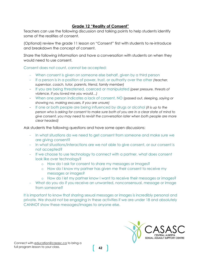# **Grade 12 "Reality of Consent"**

<span id="page-41-0"></span>Teachers can use the following discussion and talking points to help students identify some of the realities of consent.

(Optional) review the grade 11 lesson on "Consent" first with students to re-introduce and breakdown the concept of consent.

Share the following information and have a conversation with students on when they would need to use consent.

Consent does not count, cannot be accepted:

- When consent is given on someone else behalf, given by a third person
- If a person is in a position of power, trust, or authority over the other *(teacher, supervisor, coach, tutor, parents, friend, family member)*
- If you are being threatened, coerced or manipulated *(peer pressure, threats of violence, if you loved me you would…)*
- When one person indicates a lack of consent, NO (passed out, sleeping, *saying or showing no, making excuses, if you are unsure)*
- If one or both people are being influenced by drugs or alcohol *(it is up to the person who is asking for consent to make sure both of you are in a clear state of mind to give consent, you may need to revisit the conversation later when both people are more clear headed)*

Ask students the following questions and have some open discussions:

- In what situations do we need to get consent from someone and make sure we are giving consent?
- In what situations/interactions are we not able to give consent, or our consent is not accepted?
- If we choose to use technology to connect with a partner, what does consent look like over technology?
	- o How do I ask for consent to share my messages or images?
	- o How do I know my partner has given me their consent to receive my messages or images?
	- o How do I let my partner know I want to receive their messages or images?
- What do you do if you receive an unwanted, nonconsensual, message or image from someone?

It is important to know that sharing sexual messages or images is incredibly personal and private. We should not be engaging in these activities if we are under 18 and absolutely CANNOT show these messages/images to anyone else.

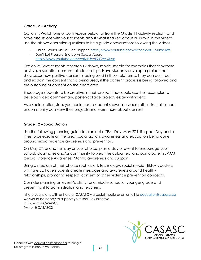# **Grade 12 – Activity**

Option 1: Watch one or both videos below (or from the Grade 11 activity section) and have discussions with your students about what is talked about or shown in the videos. Use the above discussion questions to help guide conversations following the videos.

- Online Sexual Abuse Can Happen<https://www.youtube.com/watch?v=CEivufW2IWs>
- Don't Let Pressure End Up As Sexual Abuse <https://www.youtube.com/watch?v=F9lCVyLSHvc>

Option 2: Have students research TV shows, movie, media for examples that showcase positive, respectful, consensual relationships. Have students develop a project that showcases how positive consent is being used in those platforms. They can point out and explain the consent that is being used, if the consent process is being followed and the outcome of consent on the characters.

Encourage students to be creative in their project, they could use their examples to develop video commentary, poster/collage project, essay writing etc.

As a social action step, you could host a student showcase where others in their school or community can view their projects and learn more about consent.

# **Grade 12 – Social Action**

Use the following planning guide to plan out a TEAL Day. May 27 is Respect Day and a time to celebrate all the great social action, awareness and education being done around sexual violence awareness and prevention.

On May 27, or another day or your choice, plan a day or event to encourage your school, classmates and/or community to wear the colour teal and participate in SVAM (Sexual Violence Awareness Month) awareness and support.

Using a medium of their choice such as art, technology, social media (TikTok), posters, writing etc., have students create messages and awareness around healthy relationships, promoting respect, consent or other violence prevention concepts.

Consider planning an event/activity for a middle school or younger grade and presenting it to administration and teachers.

\*share your plans with us here at CASASC via social media or an email to [education@casasc.ca](mailto:education@casasc.ca) we would be happy to support your Teal Day initiative. Instagram @CASASC3 Twitter @CASASC2

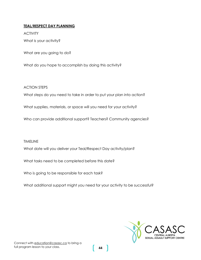# **TEAL/RESPECT DAY PLANNING**

**ACTIVITY** What is your activity?

What are you going to do?

What do you hope to accomplish by doing this activity?

ACTION STEPS

What steps do you need to take in order to put your plan into action?

What supplies, materials, or space will you need for your activity?

Who can provide additional support? Teachers? Community agencies?

TIMELINE

What date will you deliver your Teal/Respect Day activity/plan?

What tasks need to be completed before this date?

Who is going to be responsible for each task?

What additional support might you need for your activity to be successful?

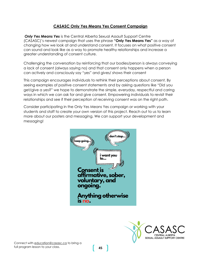# **CASASC Only Yes Means Yes Consent Campaign**

<span id="page-44-0"></span>*Only Yes Means Yes* is the Central Alberta Sexual Assault Support Centre (CASASC)'s newest campaign that uses the phrase **"Only Yes Means Yes"** as a way of changing how we look at and understand consent. It focuses on what positive consent can sound and look like as a way to promote healthy relationships and increase a greater understanding of consent culture.

Challenging the conversation by reinforcing that our bodies/person is always conveying a lack of consent (always saying no) and that consent only happens when a person can actively and consciously say "yes" and gives/ shows their consent

This campaign encourages individuals to rethink their perceptions about consent. By seeing examples of positive consent statements and by asking questions like "Did you get/give a yes?" we hope to demonstrate the simple, everyday, respectful and caring ways in which we can ask for and give consent. Empowering individuals to revisit their relationships and see if their perception of receiving consent was on the right path.

Consider participating in the Only Yes Means Yes campaign or working with your students and staff to create your own version of this project. Reach out to us to learn more about our posters and messaging. We can support your development and messaging!





Connect wit[h education@casasc.ca](mailto:education@casasc.ca) to bring a full program lesson to your class.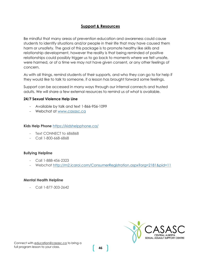# **Support & Resources**

<span id="page-45-0"></span>Be mindful that many areas of prevention education and awareness could cause students to identify situations and/or people in their life that may have caused them harm or unsafety. The goal of this package is to promote healthy like skills and relationship development, however the reality is that being reminded of positive relationships could possibly trigger us to go back to moments where we felt unsafe, were harmed, or of a time we may not have given consent, or any other feelings of concern.

As with all things, remind students of their supports, and who they can go to for help if they would like to talk to someone, if a lesson has brought forward some feelings.

Support can be accessed in many ways through our internal connects and trusted adults. We will share a few external resources to remind us of what is available.

#### **24/7 Sexual Violence Help Line**

- Available by talk and text 1-866-956-1099
- Webchat at [www.casasc.ca](http://www.casasc.ca/)

**Kids Help Phone** <https://kidshelpphone.ca/>

- Text CONNECT to 686868
- Call 1-800-668-6868

# **Bullying Helpline**

- Call 1-888-456-2323
- Webchat <http://m2.icarol.com/ConsumerRegistration.aspx?org=2181&pid=11>

# **Mental Health Helpline**

- Call 1-877-303-2642

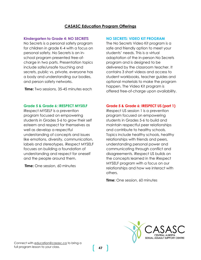# **CASASC Education Program Offerings**

#### <span id="page-46-0"></span>**Kindergarten to Grade 4: NO SECRETS**

No Secrets is a personal safety program for children in grade K-4 with a focus on personal safety. No Secrets is an inschool program presented free-ofcharge in two parts. Presentation topics include safe/unsafe touching and secrets, public vs. private, everyone has a body and understanding our bodies, and person safety networks.

**Time:** Two sessions, 35-45 minutes each

#### **Grade 5 & Grade 6: IRESPECT MYSELF**

iRespect MYSELF is a prevention program focused on empowering students in Grades 5-6 to grow their self esteem and respect for themselves as well as develop a respectful understanding of concepts and issues like emotions, diversity, communication, labels and stereotypes. iRespect MYSELF focuses on building a foundation of understanding and respect for oneself and the people around them.

**Time:** One session, 60 minutes

#### **NO SECRETS: VIDEO KIT PROGRAM**

The No Secrets Video Kit program is a safe and friendly option to meet your students' needs. This is a virtual adaptation of the in-person No Secrets program and is designed to be delivered by the classroom teacher. It contains 3 short videos and access to student workbooks, teacher guides and optional materials to make the program happen. The Video Kit program is offered free-of-charge upon availability.

#### **Grade 5 & Grade 6: IRESPECT US (part 1)**

iRespect US session 1 is a prevention program focused on empowering students in Grades 5-6 to build and maintain respectful peer relationships and contribute to healthy schools. Topics include healthy schools, healthy relationships with friends and peers, understanding personal power and communicating through conflict and disagreements. iRespect US builds on the concepts learned in the iRespect MYSELF program with a focus on our relationships and how we interact with others.

**Time:** One session, 60 minutes



Connect wit[h education@casasc.ca](mailto:education@casasc.ca) to bring a full program lesson to your class.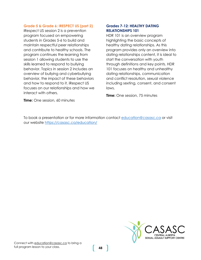**Grade 5 & Grade 6: IRESPECT US (part 2)**

iRespect US session 2 is a prevention program focused on empowering students in Grades 5-6 to build and maintain respectful peer relationships and contribute to healthy schools. The program continues the learning from session 1 allowing students to use the skills learned to respond to bullying behavior. Topics in session 2 includes an overview of bullying and cyberbullying behavior, the impact of these behaviors and how to respond to it. iRespect US focuses on our relationships and how we interact with others.

#### **Grades 7-12: HEALTHY DATING RELATIONSHIPS 101**

HDR 101 is an overview program highlighting the basic concepts of healthy dating relationships. As this program provides only an overview into dating relationships content, it is ideal to start the conversation with youth through definitions and key points. HDR 101 focuses on healthy and unhealthy dating relationships, communication and conflict resolution, sexual violence including sexting, consent, and consent laws.

**Time:** One session, 75 minutes

**Time:** One session, 60 minutes

To book a presentation or for more information contact [education@casasc.ca](mailto:education@casasc.ca) or visit our website<https://casasc.ca/education/>